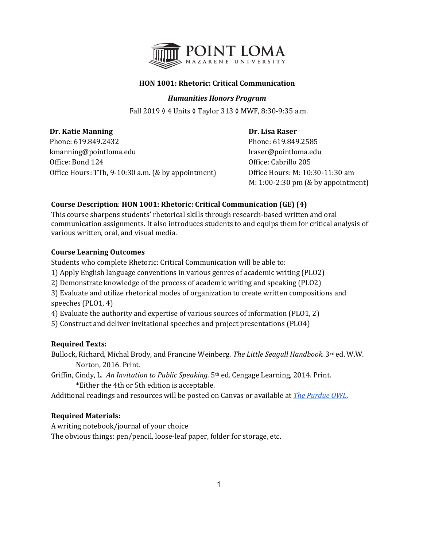

# **HON 1001: Rhetoric: Critical Communication**

# *Humanities Honors Program*

Fall 2019 ◊ 4 Units ◊ Taylor 313 ◊ MWF, 8:30-9:35 a.m.

**Dr. Katie Manning Community Community Community Community Community Community Community Community Community Community Community Community Community Community Community Community Community Community Community Community Com** Phone: 619.849.2432<br>
kmanning@pointloma.edu<br>
l'aser@pointloma.edu<br>
l'aser@pointloma.edu kmanning@pointloma.edu Office: Bond 124 Office: Cabrillo 205 Office Hours: TTh, 9-10:30 a.m. (& by appointment) Office Hours: M: 10:30-11:30 am

M: 1:00-2:30 pm (& by appointment)

# **Course Description**: **HON 1001: Rhetoric: Critical Communication (GE) (4)**

This course sharpens students' rhetorical skills through research-based written and oral communication assignments. It also introduces students to and equips them for critical analysis of various written, oral, and visual media.

# **Course Learning Outcomes**

Students who complete Rhetoric: Critical Communication will be able to:

- 1) Apply English language conventions in various genres of academic writing (PLO2)
- 2) Demonstrate knowledge of the process of academic writing and speaking (PLO2)

3) Evaluate and utilize rhetorical modes of organization to create written compositions and speeches (PLO1, 4)

4) Evaluate the authority and expertise of various sources of information (PLO1, 2)

5) Construct and deliver invitational speeches and project presentations (PLO4)

# **Required Texts:**

Bullock, Richard, Michal Brody, and Francine Weinberg. *The Little Seagull Handbook.* 3rd ed. W.W. Norton, 2016. Print.

Griffin, Cindy, L. *An Invitation to Public Speaking.* 5th ed. Cengage Learning, 2014. Print. \*Either the 4th or 5th edition is acceptable.

Additional readings and resources will be posted on Canvas or available at *[The Purdue OWL](http://owl.english.purdue.edu/owl)*.

# **Required Materials:**

A writing notebook/journal of your choice The obvious things: pen/pencil, loose-leaf paper, folder for storage, etc.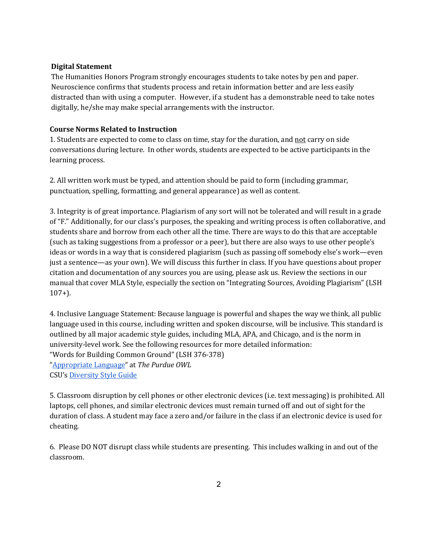# **Digital Statement**

The Humanities Honors Program strongly encourages students to take notes by pen and paper. Neuroscience confirms that students process and retain information better and are less easily distracted than with using a computer. However, if a student has a demonstrable need to take notes digitally, he/she may make special arrangements with the instructor.

# **Course Norms Related to Instruction**

1. Students are expected to come to class on time, stay for the duration, and not carry on side conversations during lecture. In other words, students are expected to be active participants in the learning process.

2. All written work must be typed, and attention should be paid to form (including grammar, punctuation, spelling, formatting, and general appearance) as well as content.

3. Integrity is of great importance. Plagiarism of any sort will not be tolerated and will result in a grade of "F." Additionally, for our class's purposes, the speaking and writing process is often collaborative, and students share and borrow from each other all the time. There are ways to do this that are acceptable (such as taking suggestions from a professor or a peer), but there are also ways to use other people's ideas or words in a way that is considered plagiarism (such as passing off somebody else's work—even just a sentence—as your own). We will discuss this further in class. If you have questions about proper citation and documentation of any sources you are using, please ask us. Review the sections in our manual that cover MLA Style, especially the section on "Integrating Sources, Avoiding Plagiarism" (LSH 107+).

4. Inclusive Language Statement: Because language is powerful and shapes the way we think, all public language used in this course, including written and spoken discourse, will be inclusive. This standard is outlined by all major academic style guides, including MLA, APA, and Chicago, and is the norm in university-level work. See the following resources for more detailed information: "Words for Building Common Ground" (LSH 376-378) ["Appropriate Language"](https://owl.purdue.edu/owl/general_writing/academic_writing/using_appropriate_language/index.html) at *The Purdue OWL* CSU's [Diversity Style Guide](https://www2.calstate.edu/csu-system/csu-branding-standards/editorial-style-guide/Pages/diversity-style-guide.aspx)

5. Classroom disruption by cell phones or other electronic devices (i.e. text messaging) is prohibited. All laptops, cell phones, and similar electronic devices must remain turned off and out of sight for the duration of class. A student may face a zero and/or failure in the class if an electronic device is used for cheating.

6. Please DO NOT disrupt class while students are presenting. This includes walking in and out of the classroom.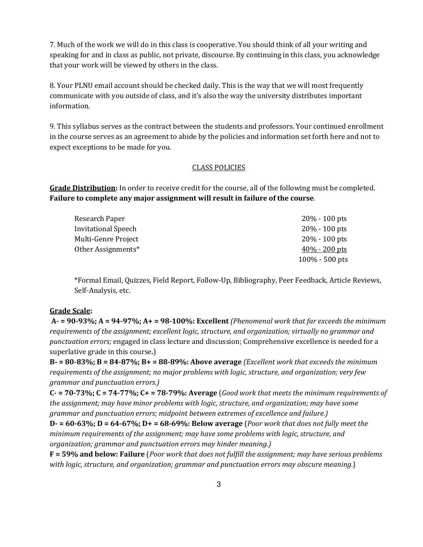7. Much of the work we will do in this class is cooperative. You should think of all your writing and speaking for and in class as public, not private, discourse. By continuing in this class, you acknowledge that your work will be viewed by others in the class.

8. Your PLNU email account should be checked daily. This is the way that we will most frequently communicate with you outside of class, and it's also the way the university distributes important information.

9. This syllabus serves as the contract between the students and professors. Your continued enrollment in the course serves as an agreement to abide by the policies and information set forth here and not to expect exceptions to be made for you.

# CLASS POLICIES

**Grade Distribution:** In order to receive credit for the course, all of the following must be completed. **Failure to complete any major assignment will result in failure of the course**.

| Research Paper             | $20\% - 100$ pts  |
|----------------------------|-------------------|
| <b>Invitational Speech</b> | $20\% - 100$ pts  |
| Multi-Genre Project        | $20\% - 100$ pts  |
| Other Assignments*         | $40\% - 200$ pts  |
|                            | $100\% - 500$ pts |
|                            |                   |

\*Formal Email, Quizzes, Field Report, Follow-Up, Bibliography, Peer Feedback, Article Reviews, Self-Analysis, etc.

# **Grade Scale:**

**A- = 90-93%; A = 94-97%; A+ = 98-100%: Excellent** *(Phenomenal work that far exceeds the minimum requirements of the assignment; excellent logic, structure, and organization; virtually no grammar and punctuation errors;* engaged in class lecture and discussion; Comprehensive excellence is needed for a superlative grade in this course*.*)

**B- = 80-83%; B = 84-87%; B+ = 88-89%: Above average** *(Excellent work that exceeds the minimum requirements of the assignment; no major problems with logic, structure, and organization; very few grammar and punctuation errors.)*

**C- = 70-73%; C = 74-77%; C+ = 78-79%: Average** (*Good work that meets the minimum requirements of the assignment; may have minor problems with logic, structure, and organization; may have some grammar and punctuation errors; midpoint between extremes of excellence and failure.)*

**D- = 60-63%; D = 64-67%; D+ = 68-69%: Below average** (*Poor work that does not fully meet the minimum requirements of the assignment; may have some problems with logic, structure, and organization; grammar and punctuation errors may hinder meaning.)*

**F = 59% and below: Failure** (*Poor work that does not fulfill the assignment; may have serious problems with logic, structure, and organization; grammar and punctuation errors may obscure meaning*.)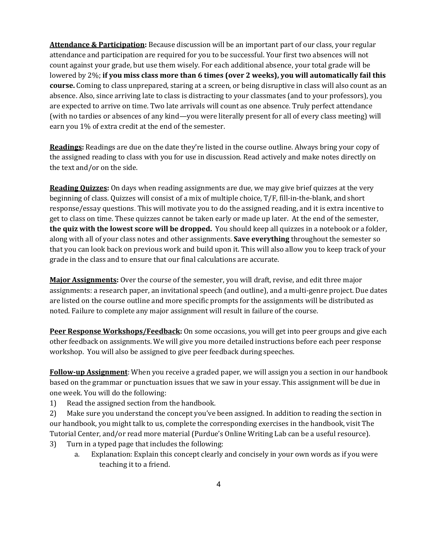**Attendance & Participation:** Because discussion will be an important part of our class, your regular attendance and participation are required for you to be successful. Your first two absences will not count against your grade, but use them wisely. For each additional absence, your total grade will be lowered by 2%; **if you miss class more than 6 times (over 2 weeks), you will automatically fail this course.** Coming to class unprepared, staring at a screen, or being disruptive in class will also count as an absence. Also, since arriving late to class is distracting to your classmates (and to your professors), you are expected to arrive on time. Two late arrivals will count as one absence. Truly perfect attendance (with no tardies or absences of any kind—you were literally present for all of every class meeting) will earn you 1% of extra credit at the end of the semester.

**Readings:** Readings are due on the date they're listed in the course outline. Always bring your copy of the assigned reading to class with you for use in discussion. Read actively and make notes directly on the text and/or on the side.

**Reading Quizzes:** On days when reading assignments are due, we may give brief quizzes at the very beginning of class. Quizzes will consist of a mix of multiple choice, T/F, fill-in-the-blank, and short response/essay questions. This will motivate you to do the assigned reading, and it is extra incentive to get to class on time. These quizzes cannot be taken early or made up later. At the end of the semester, **the quiz with the lowest score will be dropped.** You should keep all quizzes in a notebook or a folder, along with all of your class notes and other assignments. **Save everything** throughout the semester so that you can look back on previous work and build upon it. This will also allow you to keep track of your grade in the class and to ensure that our final calculations are accurate.

**Major Assignments:** Over the course of the semester, you will draft, revise, and edit three major assignments: a research paper, an invitational speech (and outline), and a multi-genre project. Due dates are listed on the course outline and more specific prompts for the assignments will be distributed as noted. Failure to complete any major assignment will result in failure of the course.

**Peer Response Workshops/Feedback:** On some occasions, you will get into peer groups and give each other feedback on assignments. We will give you more detailed instructions before each peer response workshop. You will also be assigned to give peer feedback during speeches.

**Follow-up Assignment**: When you receive a graded paper, we will assign you a section in our handbook based on the grammar or punctuation issues that we saw in your essay. This assignment will be due in one week. You will do the following:

1) Read the assigned section from the handbook.

2) Make sure you understand the concept you've been assigned. In addition to reading the section in our handbook, you might talk to us, complete the corresponding exercises in the handbook, visit The Tutorial Center, and/or read more material (Purdue's Online Writing Lab can be a useful resource).

- 3) Turn in a typed page that includes the following:
	- a. Explanation: Explain this concept clearly and concisely in your own words as if you were teaching it to a friend.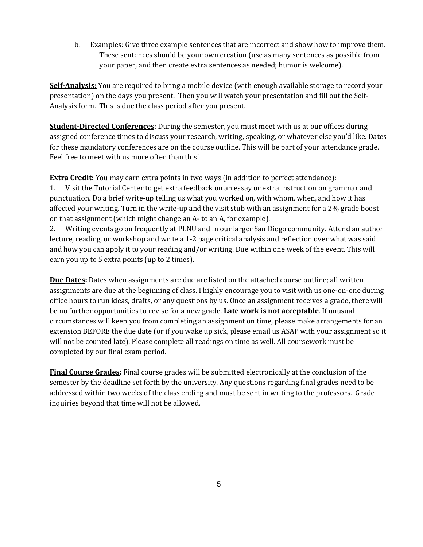b. Examples: Give three example sentences that are incorrect and show how to improve them. These sentences should be your own creation (use as many sentences as possible from your paper, and then create extra sentences as needed; humor is welcome).

**Self-Analysis:** You are required to bring a mobile device (with enough available storage to record your presentation) on the days you present. Then you will watch your presentation and fill out the Self-Analysis form. This is due the class period after you present.

**Student-Directed Conferences**: During the semester, you must meet with us at our offices during assigned conference times to discuss your research, writing, speaking, or whatever else you'd like. Dates for these mandatory conferences are on the course outline. This will be part of your attendance grade. Feel free to meet with us more often than this!

**Extra Credit:** You may earn extra points in two ways (in addition to perfect attendance):

1. Visit the Tutorial Center to get extra feedback on an essay or extra instruction on grammar and punctuation. Do a brief write-up telling us what you worked on, with whom, when, and how it has affected your writing. Turn in the write-up and the visit stub with an assignment for a 2% grade boost on that assignment (which might change an A- to an A, for example).

2. Writing events go on frequently at PLNU and in our larger San Diego community. Attend an author lecture, reading, or workshop and write a 1-2 page critical analysis and reflection over what was said and how you can apply it to your reading and/or writing. Due within one week of the event. This will earn you up to 5 extra points (up to 2 times).

**Due Dates:** Dates when assignments are due are listed on the attached course outline; all written assignments are due at the beginning of class. I highly encourage you to visit with us one-on-one during office hours to run ideas, drafts, or any questions by us. Once an assignment receives a grade, there will be no further opportunities to revise for a new grade. **Late work is not acceptable**. If unusual circumstances will keep you from completing an assignment on time, please make arrangements for an extension BEFORE the due date (or if you wake up sick, please email us ASAP with your assignment so it will not be counted late). Please complete all readings on time as well. All coursework must be completed by our final exam period.

**Final Course Grades:** Final course grades will be submitted electronically at the conclusion of the semester by the deadline set forth by the university. Any questions regarding final grades need to be addressed within two weeks of the class ending and must be sent in writing to the professors. Grade inquiries beyond that time will not be allowed.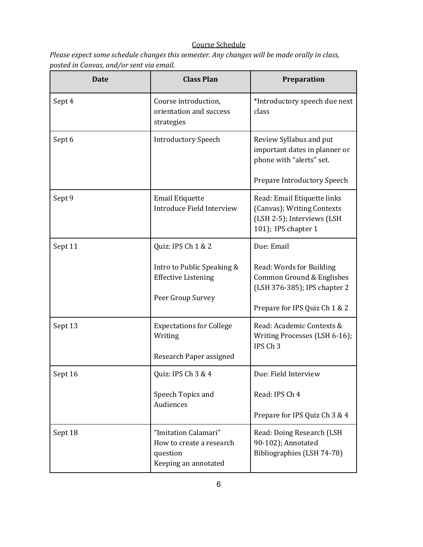# Course Schedule

*Please expect some schedule changes this semester. Any changes will be made orally in class, posted in Canvas, and/or sent via email.* 

| Date    | <b>Class Plan</b>                                                                    | Preparation                                                                                                            |
|---------|--------------------------------------------------------------------------------------|------------------------------------------------------------------------------------------------------------------------|
| Sept 4  | Course introduction,<br>orientation and success<br>strategies                        | *Introductory speech due next<br>class                                                                                 |
| Sept 6  | <b>Introductory Speech</b>                                                           | Review Syllabus and put<br>important dates in planner or<br>phone with "alerts" set.<br>Prepare Introductory Speech    |
| Sept 9  | <b>Email Etiquette</b><br>Introduce Field Interview                                  | Read: Email Etiquette links<br>(Canvas); Writing Contexts<br>(LSH 2-5); Interviews (LSH<br>101); IPS chapter 1         |
| Sept 11 | Quiz: IPS Ch 1 & 2                                                                   | Due: Email                                                                                                             |
|         | Intro to Public Speaking &<br><b>Effective Listening</b><br>Peer Group Survey        | Read: Words for Building<br>Common Ground & Englishes<br>(LSH 376-385); IPS chapter 2<br>Prepare for IPS Quiz Ch 1 & 2 |
| Sept 13 | <b>Expectations for College</b><br>Writing<br>Research Paper assigned                | Read: Academic Contexts &<br>Writing Processes (LSH 6-16);<br>IPS Ch <sub>3</sub>                                      |
| Sept 16 | Quiz: IPS Ch 3 & 4                                                                   | Due: Field Interview                                                                                                   |
|         | Speech Topics and<br>Audiences                                                       | Read: IPS Ch 4<br>Prepare for IPS Quiz Ch 3 & 4                                                                        |
| Sept 18 | "Imitation Calamari"<br>How to create a research<br>question<br>Keeping an annotated | Read: Doing Research (LSH<br>90-102); Annotated<br>Bibliographies (LSH 74-78)                                          |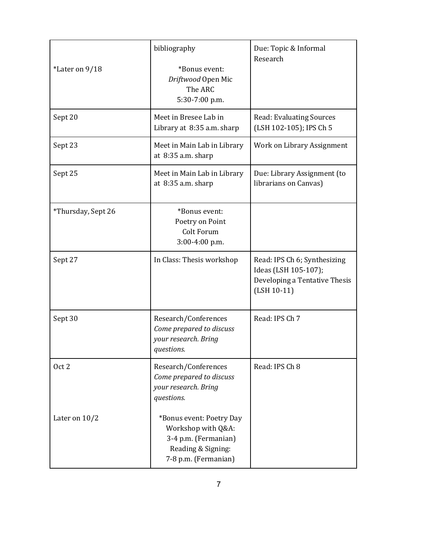| *Later on 9/18     | bibliography<br>*Bonus event:<br>Driftwood Open Mic<br>The ARC<br>5:30-7:00 p.m.                                     | Due: Topic & Informal<br>Research                                                                      |
|--------------------|----------------------------------------------------------------------------------------------------------------------|--------------------------------------------------------------------------------------------------------|
| Sept 20            | Meet in Bresee Lab in<br>Library at 8:35 a.m. sharp                                                                  | <b>Read: Evaluating Sources</b><br>(LSH 102-105); IPS Ch 5                                             |
| Sept 23            | Meet in Main Lab in Library<br>at $8:35$ a.m. sharp                                                                  | Work on Library Assignment                                                                             |
| Sept 25            | Meet in Main Lab in Library<br>at 8:35 a.m. sharp                                                                    | Due: Library Assignment (to<br>librarians on Canvas)                                                   |
| *Thursday, Sept 26 | *Bonus event:<br>Poetry on Point<br>Colt Forum<br>3:00-4:00 p.m.                                                     |                                                                                                        |
| Sept 27            | In Class: Thesis workshop                                                                                            | Read: IPS Ch 6; Synthesizing<br>Ideas (LSH 105-107);<br>Developing a Tentative Thesis<br>$(LSH 10-11)$ |
| Sept 30            | Research/Conferences<br>Come prepared to discuss<br>your research. Bring<br>questions.                               | Read: IPS Ch 7                                                                                         |
| Oct 2              | Research/Conferences<br>Come prepared to discuss<br>your research. Bring<br>questions.                               | Read: IPS Ch 8                                                                                         |
| Later on $10/2$    | *Bonus event: Poetry Day<br>Workshop with Q&A:<br>3-4 p.m. (Fermanian)<br>Reading & Signing:<br>7-8 p.m. (Fermanian) |                                                                                                        |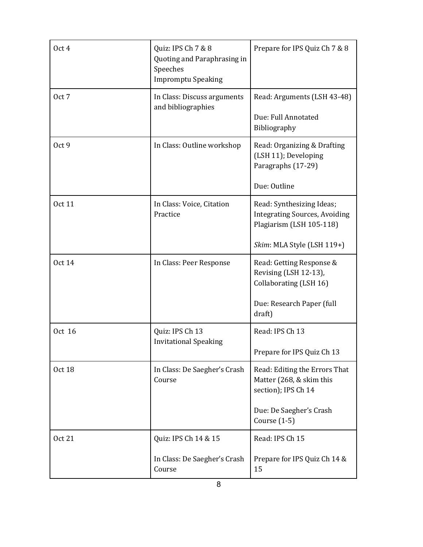| Oct 4         | Quiz: IPS Ch 7 & 8<br>Quoting and Paraphrasing in<br>Speeches<br><b>Impromptu Speaking</b> | Prepare for IPS Quiz Ch 7 & 8                                                                                               |
|---------------|--------------------------------------------------------------------------------------------|-----------------------------------------------------------------------------------------------------------------------------|
| Oct 7         | In Class: Discuss arguments<br>and bibliographies                                          | Read: Arguments (LSH 43-48)<br>Due: Full Annotated<br>Bibliography                                                          |
| Oct 9         | In Class: Outline workshop                                                                 | Read: Organizing & Drafting<br>(LSH 11); Developing<br>Paragraphs (17-29)<br>Due: Outline                                   |
| <b>Oct 11</b> | In Class: Voice, Citation<br>Practice                                                      | Read: Synthesizing Ideas;<br><b>Integrating Sources, Avoiding</b><br>Plagiarism (LSH 105-118)<br>Skim: MLA Style (LSH 119+) |
| <b>Oct 14</b> | In Class: Peer Response                                                                    | Read: Getting Response &<br>Revising (LSH 12-13),<br>Collaborating (LSH 16)<br>Due: Research Paper (full<br>draft)          |
| Oct 16        | Quiz: IPS Ch 13<br><b>Invitational Speaking</b>                                            | Read: IPS Ch 13<br>Prepare for IPS Quiz Ch 13                                                                               |
| <b>Oct 18</b> | In Class: De Saegher's Crash<br>Course                                                     | Read: Editing the Errors That<br>Matter (268, & skim this<br>section); IPS Ch 14<br>Due: De Saegher's Crash<br>Course (1-5) |
| Oct 21        | Quiz: IPS Ch 14 & 15<br>In Class: De Saegher's Crash<br>Course                             | Read: IPS Ch 15<br>Prepare for IPS Quiz Ch 14 &<br>15                                                                       |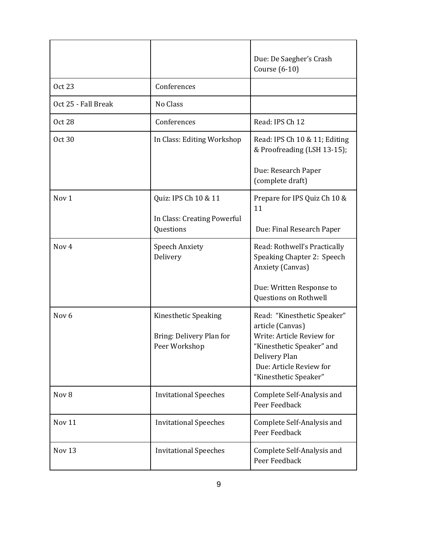|                     |                                                                   | Due: De Saegher's Crash<br>Course (6-10)                                                                                                                                       |
|---------------------|-------------------------------------------------------------------|--------------------------------------------------------------------------------------------------------------------------------------------------------------------------------|
| <b>Oct 23</b>       | Conferences                                                       |                                                                                                                                                                                |
| Oct 25 - Fall Break | No Class                                                          |                                                                                                                                                                                |
| <b>Oct 28</b>       | Conferences                                                       | Read: IPS Ch 12                                                                                                                                                                |
| <b>Oct 30</b>       | In Class: Editing Workshop                                        | Read: IPS Ch 10 & 11; Editing<br>& Proofreading (LSH 13-15);                                                                                                                   |
|                     |                                                                   | Due: Research Paper<br>(complete draft)                                                                                                                                        |
| Nov <sub>1</sub>    | Quiz: IPS Ch 10 & 11<br>In Class: Creating Powerful               | Prepare for IPS Quiz Ch 10 &<br>11                                                                                                                                             |
|                     | Questions                                                         | Due: Final Research Paper                                                                                                                                                      |
| Nov <sub>4</sub>    | <b>Speech Anxiety</b><br>Delivery                                 | Read: Rothwell's Practically<br>Speaking Chapter 2: Speech<br>Anxiety (Canvas)                                                                                                 |
|                     |                                                                   | Due: Written Response to<br>Questions on Rothwell                                                                                                                              |
| Nov <sub>6</sub>    | Kinesthetic Speaking<br>Bring: Delivery Plan for<br>Peer Workshop | Read: "Kinesthetic Speaker"<br>article (Canvas)<br>Write: Article Review for<br>"Kinesthetic Speaker" and<br>Delivery Plan<br>Due: Article Review for<br>"Kinesthetic Speaker" |
| Nov 8               | <b>Invitational Speeches</b>                                      | Complete Self-Analysis and<br>Peer Feedback                                                                                                                                    |
| Nov 11              | <b>Invitational Speeches</b>                                      | Complete Self-Analysis and<br>Peer Feedback                                                                                                                                    |
| Nov <sub>13</sub>   | <b>Invitational Speeches</b>                                      | Complete Self-Analysis and<br>Peer Feedback                                                                                                                                    |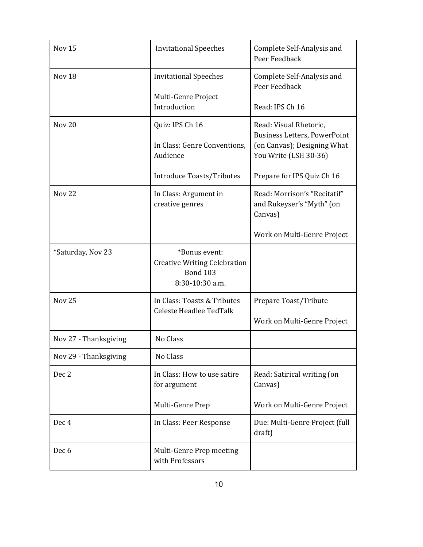| Nov <sub>15</sub>     | <b>Invitational Speeches</b>                                                               | Complete Self-Analysis and<br>Peer Feedback                          |
|-----------------------|--------------------------------------------------------------------------------------------|----------------------------------------------------------------------|
| Nov <sub>18</sub>     | <b>Invitational Speeches</b>                                                               | Complete Self-Analysis and<br>Peer Feedback                          |
|                       | Multi-Genre Project<br>Introduction                                                        | Read: IPS Ch 16                                                      |
| Nov <sub>20</sub>     | Quiz: IPS Ch 16                                                                            | Read: Visual Rhetoric,<br><b>Business Letters, PowerPoint</b>        |
|                       | In Class: Genre Conventions,<br>Audience                                                   | (on Canvas); Designing What<br>You Write (LSH 30-36)                 |
|                       | <b>Introduce Toasts/Tributes</b>                                                           | Prepare for IPS Quiz Ch 16                                           |
| <b>Nov 22</b>         | In Class: Argument in<br>creative genres                                                   | Read: Morrison's "Recitatif"<br>and Rukeyser's "Myth" (on<br>Canvas) |
|                       |                                                                                            | Work on Multi-Genre Project                                          |
| *Saturday, Nov 23     | *Bonus event:<br><b>Creative Writing Celebration</b><br><b>Bond 103</b><br>8:30-10:30 a.m. |                                                                      |
| <b>Nov 25</b>         | In Class: Toasts & Tributes<br><b>Celeste Headlee TedTalk</b>                              | Prepare Toast/Tribute                                                |
|                       |                                                                                            | Work on Multi-Genre Project                                          |
| Nov 27 - Thanksgiving | No Class                                                                                   |                                                                      |
| Nov 29 - Thanksgiving | No Class                                                                                   |                                                                      |
| Dec 2                 | In Class: How to use satire<br>for argument                                                | Read: Satirical writing (on<br>Canvas)                               |
|                       | Multi-Genre Prep                                                                           | Work on Multi-Genre Project                                          |
| Dec <sub>4</sub>      | In Class: Peer Response                                                                    | Due: Multi-Genre Project (full<br>draft)                             |
| Dec 6                 | Multi-Genre Prep meeting<br>with Professors                                                |                                                                      |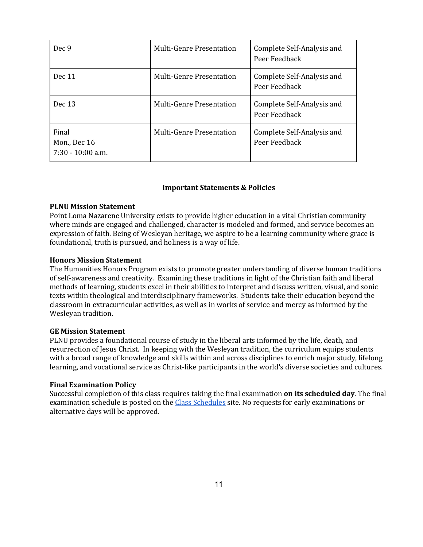| Dec 9                                        | <b>Multi-Genre Presentation</b> | Complete Self-Analysis and<br>Peer Feedback |
|----------------------------------------------|---------------------------------|---------------------------------------------|
| Dec 11                                       | <b>Multi-Genre Presentation</b> | Complete Self-Analysis and<br>Peer Feedback |
| Dec 13                                       | Multi-Genre Presentation        | Complete Self-Analysis and<br>Peer Feedback |
| Final<br>Mon., Dec 16<br>$7:30 - 10:00$ a.m. | Multi-Genre Presentation        | Complete Self-Analysis and<br>Peer Feedback |

## **Important Statements & Policies**

## **PLNU Mission Statement**

Point Loma Nazarene University exists to provide higher education in a vital Christian community where minds are engaged and challenged, character is modeled and formed, and service becomes an expression of faith. Being of Wesleyan heritage, we aspire to be a learning community where grace is foundational, truth is pursued, and holiness is a way of life.

## **Honors Mission Statement**

The Humanities Honors Program exists to promote greater understanding of diverse human traditions of self-awareness and creativity. Examining these traditions in light of the Christian faith and liberal methods of learning, students excel in their abilities to interpret and discuss written, visual, and sonic texts within theological and interdisciplinary frameworks. Students take their education beyond the classroom in extracurricular activities, as well as in works of service and mercy as informed by the Wesleyan tradition.

## **GE Mission Statement**

PLNU provides a foundational course of study in the liberal arts informed by the life, death, and resurrection of Jesus Christ. In keeping with the Wesleyan tradition, the curriculum equips students with a broad range of knowledge and skills within and across disciplines to enrich major study, lifelong learning, and vocational service as Christ-like participants in the world's diverse societies and cultures.

## **Final Examination Policy**

Successful completion of this class requires taking the final examination **on its scheduled day**. The final examination schedule is posted on the [Class Schedules](http://www.pointloma.edu/experience/academics/class-schedules) site. No requests for early examinations or alternative days will be approved.